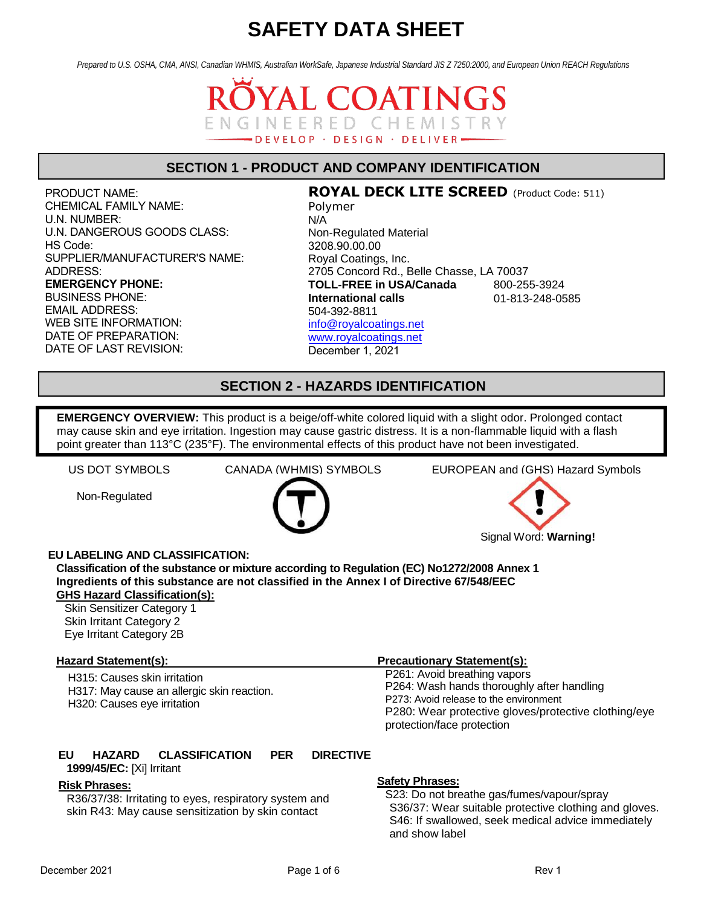*Prepared to U.S. OSHA, CMA, ANSI, Canadian WHMIS, Australian WorkSafe, Japanese Industrial Standard JIS Z 7250:2000, and European Union REACH Regulations*



#### **SECTION 1 - PRODUCT AND COMPANY IDENTIFICATION**

PRODUCT NAME: CHEMICAL FAMILY NAME: U.N. NUMBER: U.N. DANGEROUS GOODS CLASS: HS Code: SUPPLIER/MANUFACTURER'S NAME: ADDRESS: **EMERGENCY PHONE:** BUSINESS PHONE: EMAIL ADDRESS: WEB SITE INFORMATION: DATE OF PREPARATION: DATE OF LAST REVISION:

#### **ROYAL DECK LITE SCREED** (Product Code: 511)

Polymer N/A Non-Regulated Material 3208.90.00.00 Royal Coatings, Inc. 2705 Concord Rd., Belle Chasse, LA 70037 800-255-3924 01-813-248-0585 **TOLL-FREE in USA/Canada International calls** 504-392-8811 [info@royalcoatings.net](mailto:info@royalcoatings.net) [www.royalcoatings.net](http://www.royalcoatings.net/) December 1, 2021

### **SECTION 2 - HAZARDS IDENTIFICATION**

**EMERGENCY OVERVIEW:** This product is a beige/off-white colored liquid with a slight odor. Prolonged contact may cause skin and eye irritation. Ingestion may cause gastric distress. It is a non-flammable liquid with a flash point greater than 113°C (235°F). The environmental effects of this product have not been investigated.

Non-Regulated



US DOT SYMBOLS CANADA (WHMIS) SYMBOLS EUROPEAN and (GHS) Hazard Symbols



#### **EU LABELING AND CLASSIFICATION:**

**Classification of the substance or mixture according to Regulation (EC) No1272/2008 Annex 1 Ingredients of this substance are not classified in the Annex I of Directive 67/548/EEC GHS Hazard Classification(s):** 

Skin Sensitizer Category 1 Skin Irritant Category 2 Eye Irritant Category 2B

H315: Causes skin irritation H317: May cause an allergic skin reaction. H320: Causes eye irritation

#### **Hazard Statement(s): Precautionary Statement(s):**

P261: Avoid breathing vapors P264: Wash hands thoroughly after handling P273: Avoid release to the environment P280: Wear protective gloves/protective clothing/eye protection/face protection

### **EU HAZARD CLASSIFICATION PER DIRECTIVE**

### **1999/45/EC:** [Xi] Irritant

#### **Risk Phrases:**

R36/37/38: Irritating to eyes, respiratory system and skin R43: May cause sensitization by skin contact

#### **Safety Phrases:**

S23: Do not breathe gas/fumes/vapour/spray S36/37: Wear suitable protective clothing and gloves. S46: If swallowed, seek medical advice immediately and show label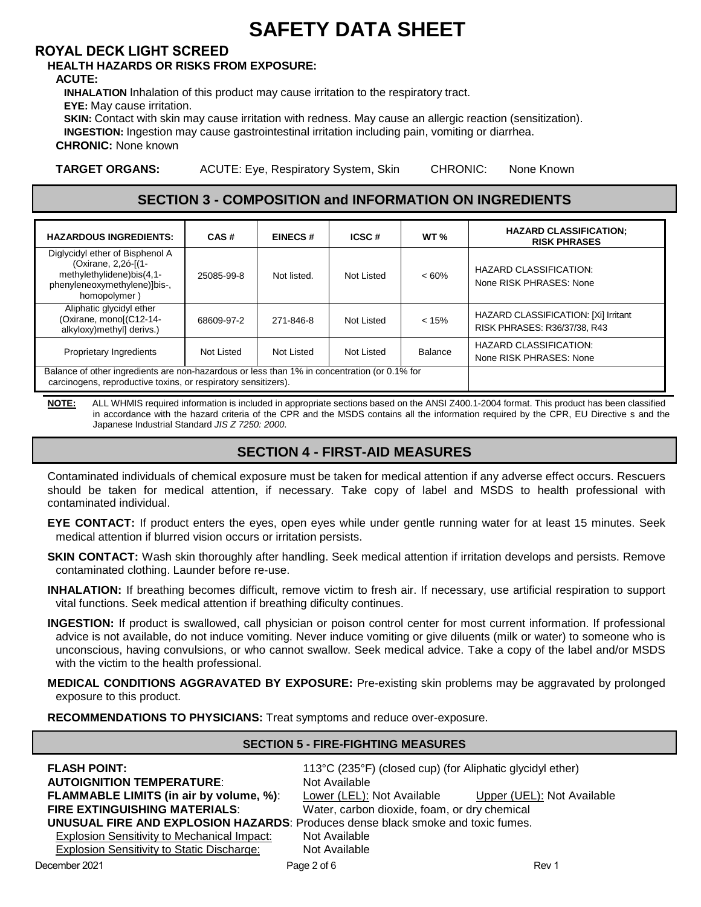#### **ROYAL DECK LIGHT SCREED**

#### **HEALTH HAZARDS OR RISKS FROM EXPOSURE:**

#### **ACUTE:**

**INHALATION** Inhalation of this product may cause irritation to the respiratory tract.

**EYE:** May cause irritation.

**SKIN:** Contact with skin may cause irritation with redness. May cause an allergic reaction (sensitization). **INGESTION:** Ingestion may cause gastrointestinal irritation including pain, vomiting or diarrhea.

**CHRONIC:** None known

**TARGET ORGANS:** ACUTE: Eye, Respiratory System, Skin CHRONIC: None Known

#### **SECTION 3 - COMPOSITION and INFORMATION ON INGREDIENTS**

| <b>HAZARDOUS INGREDIENTS:</b>                                                                                                                                  | CAS#       | <b>EINECS#</b> | ICSC#      | WT <sub>%</sub> | <b>HAZARD CLASSIFICATION:</b><br><b>RISK PHRASES</b>                 |
|----------------------------------------------------------------------------------------------------------------------------------------------------------------|------------|----------------|------------|-----------------|----------------------------------------------------------------------|
| Diglycidyl ether of Bisphenol A<br>(Oxirane, 2,2ó-[(1-<br>methylethylidene)bis(4,1-<br>phenyleneoxymethylene)]bis-,<br>homopolymer)                            | 25085-99-8 | Not listed.    | Not Listed | $<60\%$         | <b>HAZARD CLASSIFICATION:</b><br>None RISK PHRASES: None             |
| Aliphatic glycidyl ether<br>(Oxirane, mono[(C12-14-<br>alkyloxy)methyl] derivs.)                                                                               | 68609-97-2 | 271-846-8      | Not Listed | < 15%           | HAZARD CLASSIFICATION: [Xi] Irritant<br>RISK PHRASES: R36/37/38, R43 |
| Proprietary Ingredients                                                                                                                                        | Not Listed | Not Listed     | Not Listed | <b>Balance</b>  | <b>HAZARD CLASSIFICATION:</b><br>None RISK PHRASES: None             |
| Balance of other ingredients are non-hazardous or less than 1% in concentration (or 0.1% for<br>carcinogens, reproductive toxins, or respiratory sensitizers). |            |                |            |                 |                                                                      |

**NOTE:** ALL WHMIS required information is included in appropriate sections based on the ANSI Z400.1-2004 format. This product has been classified in accordance with the hazard criteria of the CPR and the MSDS contains all the information required by the CPR, EU Directive s and the Japanese Industrial Standard *JIS Z 7250: 2000*.

### **SECTION 4 - FIRST-AID MEASURES**

Contaminated individuals of chemical exposure must be taken for medical attention if any adverse effect occurs. Rescuers should be taken for medical attention, if necessary. Take copy of label and MSDS to health professional with contaminated individual.

**EYE CONTACT:** If product enters the eyes, open eyes while under gentle running water for at least 15 minutes. Seek medical attention if blurred vision occurs or irritation persists.

**SKIN CONTACT:** Wash skin thoroughly after handling. Seek medical attention if irritation develops and persists. Remove contaminated clothing. Launder before re-use.

**INHALATION:** If breathing becomes difficult, remove victim to fresh air. If necessary, use artificial respiration to support vital functions. Seek medical attention if breathing dificulty continues.

**INGESTION:** If product is swallowed, call physician or poison control center for most current information. If professional advice is not available, do not induce vomiting. Never induce vomiting or give diluents (milk or water) to someone who is unconscious, having convulsions, or who cannot swallow. Seek medical advice. Take a copy of the label and/or MSDS with the victim to the health professional.

**MEDICAL CONDITIONS AGGRAVATED BY EXPOSURE:** Pre-existing skin problems may be aggravated by prolonged exposure to this product.

**RECOMMENDATIONS TO PHYSICIANS:** Treat symptoms and reduce over-exposure.

#### **SECTION 5 - FIRE-FIGHTING MEASURES FLASH POINT:** 113°C (235°F) (closed cup) (for Aliphatic glycidyl ether) **AUTOIGNITION TEMPERATURE:** Not Available **FLAMMABLE LIMITS (in air by volume, %)**: Lower (LEL): Not Available Upper (UEL): Not Available **FIRE EXTINGUISHING MATERIALS**: Water, carbon dioxide, foam, or dry chemical **UNUSUAL FIRE AND EXPLOSION HAZARDS**: Produces dense black smoke and toxic fumes. Explosion Sensitivity to Mechanical Impact: Not Available<br>Explosion Sensitivity to Static Discharge: Not Available Explosion Sensitivity to Static Discharge: December 2021 **Page 2 of 6** Rev 1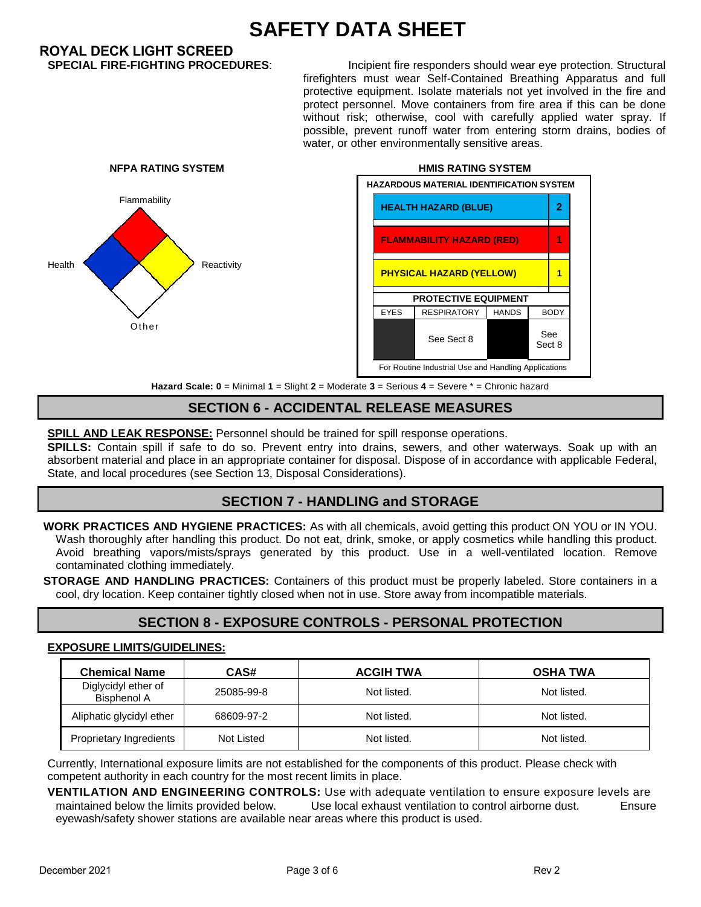# **ROYAL DECK LIGHT SCREED**

Incipient fire responders should wear eye protection. Structural firefighters must wear Self-Contained Breathing Apparatus and full protective equipment. Isolate materials not yet involved in the fire and protect personnel. Move containers from fire area if this can be done without risk; otherwise, cool with carefully applied water spray. If possible, prevent runoff water from entering storm drains, bodies of water, or other environmentally sensitive areas.





**Hazard Scale: 0** = Minimal **1** = Slight **2** = Moderate **3** = Serious **4** = Severe \* = Chronic hazard

#### **SECTION 6 - ACCIDENTAL RELEASE MEASURES**

**SPILL AND LEAK RESPONSE:** Personnel should be trained for spill response operations.

**SPILLS:** Contain spill if safe to do so. Prevent entry into drains, sewers, and other waterways. Soak up with an absorbent material and place in an appropriate container for disposal. Dispose of in accordance with applicable Federal, State, and local procedures (see Section 13, Disposal Considerations).

### **SECTION 7 - HANDLING and STORAGE**

**WORK PRACTICES AND HYGIENE PRACTICES:** As with all chemicals, avoid getting this product ON YOU or IN YOU. Wash thoroughly after handling this product. Do not eat, drink, smoke, or apply cosmetics while handling this product. Avoid breathing vapors/mists/sprays generated by this product. Use in a well-ventilated location. Remove contaminated clothing immediately.

**STORAGE AND HANDLING PRACTICES:** Containers of this product must be properly labeled. Store containers in a cool, dry location. Keep container tightly closed when not in use. Store away from incompatible materials.

### **SECTION 8 - EXPOSURE CONTROLS - PERSONAL PROTECTION**

#### **EXPOSURE LIMITS/GUIDELINES:**

| <b>Chemical Name</b>                      | CAS#       | <b>ACGIH TWA</b> | <b>OSHA TWA</b> |  |
|-------------------------------------------|------------|------------------|-----------------|--|
| Diglycidyl ether of<br><b>Bisphenol A</b> | 25085-99-8 | Not listed.      | Not listed.     |  |
| Aliphatic glycidyl ether                  | 68609-97-2 | Not listed.      | Not listed.     |  |
| <b>Proprietary Ingredients</b>            | Not Listed | Not listed.      | Not listed.     |  |

Currently, International exposure limits are not established for the components of this product. Please check with competent authority in each country for the most recent limits in place.

**VENTILATION AND ENGINEERING CONTROLS:** Use with adequate ventilation to ensure exposure levels are maintained below the limits provided below. Use local exhaust ventilation to control airborne dust. Ensure eyewash/safety shower stations are available near areas where this product is used.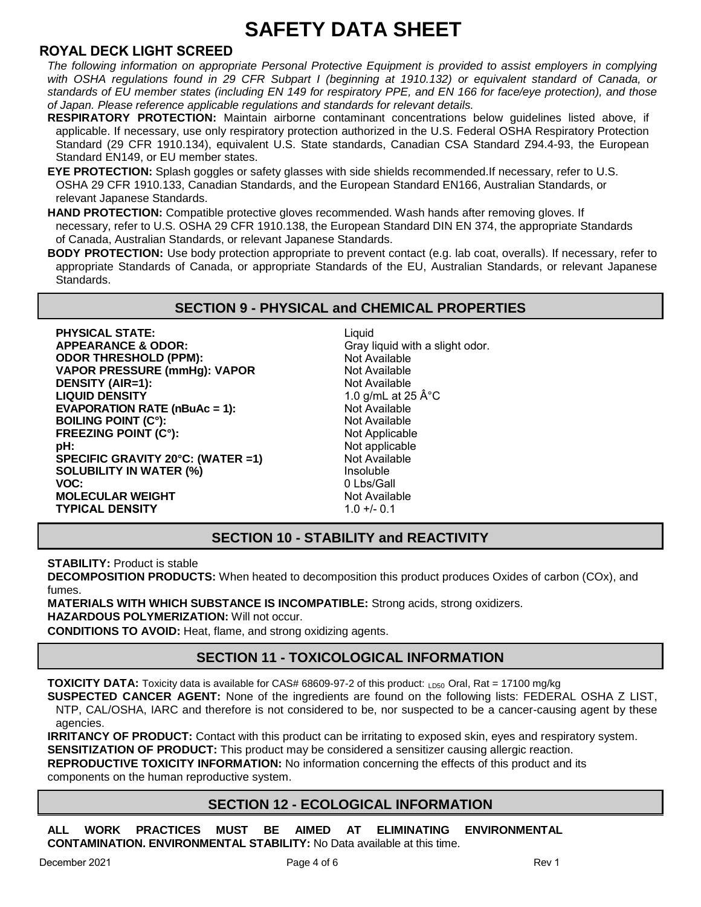#### **ROYAL DECK LIGHT SCREED**

*The following information on appropriate Personal Protective Equipment is provided to assist employers in complying*  with OSHA regulations found in 29 CFR Subpart I (beginning at 1910.132) or equivalent standard of Canada, or *standards of EU member states (including EN 149 for respiratory PPE, and EN 166 for face/eye protection), and those of Japan. Please reference applicable regulations and standards for relevant details.*

- **RESPIRATORY PROTECTION:** Maintain airborne contaminant concentrations below guidelines listed above, if applicable. If necessary, use only respiratory protection authorized in the U.S. Federal OSHA Respiratory Protection Standard (29 CFR 1910.134), equivalent U.S. State standards, Canadian CSA Standard Z94.4-93, the European Standard EN149, or EU member states.
- **EYE PROTECTION:** Splash goggles or safety glasses with side shields recommended. If necessary, refer to U.S. OSHA 29 CFR 1910.133, Canadian Standards, and the European Standard EN166, Australian Standards, or relevant Japanese Standards.

**HAND PROTECTION:** Compatible protective gloves recommended. Wash hands after removing gloves. If necessary, refer to U.S. OSHA 29 CFR 1910.138, the European Standard DIN EN 374, the appropriate Standards of Canada, Australian Standards, or relevant Japanese Standards.

**BODY PROTECTION:** Use body protection appropriate to prevent contact (e.g. lab coat, overalls). If necessary, refer to appropriate Standards of Canada, or appropriate Standards of the EU, Australian Standards, or relevant Japanese Standards.

#### **SECTION 9 - PHYSICAL and CHEMICAL PROPERTIES**

**PHYSICAL STATE: APPEARANCE & ODOR: ODOR THRESHOLD (PPM): VAPOR PRESSURE (mmHg): VAPOR DENSITY (AIR=1): LIQUID DENSITY EVAPORATION RATE (nBuAc = 1): BOILING POINT (C°): FREEZING POINT (C°): pH: SPECIFIC GRAVITY 20°C: (WATER =1) SOLUBILITY IN WATER (%) VOC: MOLECULAR WEIGHT TYPICAL DENSITY**

**Liquid** Gray liquid with a slight odor. Not Available Not Available Not Available 1.0 g/mL at 25  $\hat{A}^{\circ}C$ Not Available Not Available Not Applicable Not applicable Not Available Insoluble 0 Lbs/Gall Not Available  $1.0 +/- 0.1$ 

### **SECTION 10 - STABILITY and REACTIVITY**

**STABILITY: Product is stable** 

**DECOMPOSITION PRODUCTS:** When heated to decomposition this product produces Oxides of carbon (COx), and fumes.

**MATERIALS WITH WHICH SUBSTANCE IS INCOMPATIBLE:** Strong acids, strong oxidizers. **HAZARDOUS POLYMERIZATION:** Will not occur.

**CONDITIONS TO AVOID:** Heat, flame, and strong oxidizing agents.

### **SECTION 11 - TOXICOLOGICAL INFORMATION**

**TOXICITY DATA:** Toxicity data is available for CAS# 68609-97-2 of this product: <sub>LD50</sub> Oral, Rat = 17100 mg/kg

**SUSPECTED CANCER AGENT:** None of the ingredients are found on the following lists: FEDERAL OSHA Z LIST, NTP, CAL/OSHA, IARC and therefore is not considered to be, nor suspected to be a cancer-causing agent by these agencies.

**IRRITANCY OF PRODUCT:** Contact with this product can be irritating to exposed skin, eyes and respiratory system. **SENSITIZATION OF PRODUCT:** This product may be considered a sensitizer causing allergic reaction.

**REPRODUCTIVE TOXICITY INFORMATION:** No information concerning the effects of this product and its

components on the human reproductive system.

#### **SECTION 12 - ECOLOGICAL INFORMATION**

**ALL WORK PRACTICES MUST BE AIMED AT ELIMINATING ENVIRONMENTAL CONTAMINATION. ENVIRONMENTAL STABILITY:** No Data available at this time.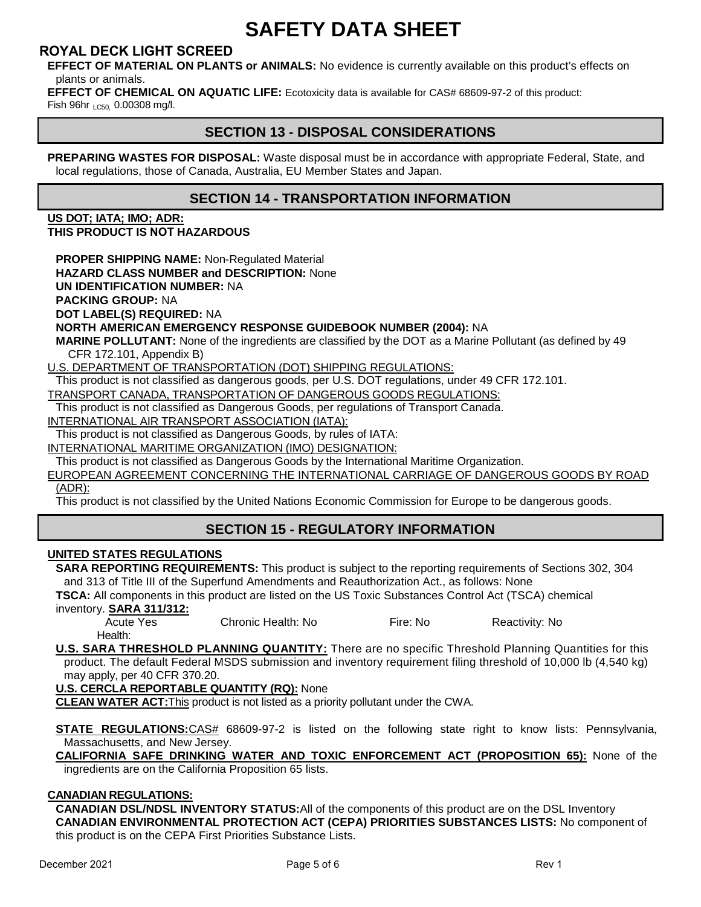#### **ROYAL DECK LIGHT SCREED**

**EFFECT OF MATERIAL ON PLANTS or ANIMALS:** No evidence is currently available on this product's effects on plants or animals.

**EFFECT OF CHEMICAL ON AQUATIC LIFE:** Ecotoxicity data is available for CAS# 68609-97-2 of this product:

Fish 96hr  $_{LC50}$ , 0.00308 mg/l.

#### **SECTION 13 - DISPOSAL CONSIDERATIONS**

**PREPARING WASTES FOR DISPOSAL:** Waste disposal must be in accordance with appropriate Federal, State, and local regulations, those of Canada, Australia, EU Member States and Japan.

#### **SECTION 14 - TRANSPORTATION INFORMATION**

**US DOT; IATA; IMO; ADR: THIS PRODUCT IS NOT HAZARDOUS** 

**PROPER SHIPPING NAME:** Non-Regulated Material **HAZARD CLASS NUMBER and DESCRIPTION:** None **UN IDENTIFICATION NUMBER:** NA **PACKING GROUP:** NA

**DOT LABEL(S) REQUIRED:** NA

**NORTH AMERICAN EMERGENCY RESPONSE GUIDEBOOK NUMBER (2004):** NA

**MARINE POLLUTANT:** None of the ingredients are classified by the DOT as a Marine Pollutant (as defined by 49 CFR 172.101, Appendix B)

U.S. DEPARTMENT OF TRANSPORTATION (DOT) SHIPPING REGULATIONS:

This product is not classified as dangerous goods, per U.S. DOT regulations, under 49 CFR 172.101.

TRANSPORT CANADA, TRANSPORTATION OF DANGEROUS GOODS REGULATIONS:

This product is not classified as Dangerous Goods, per regulations of Transport Canada.

INTERNATIONAL AIR TRANSPORT ASSOCIATION (IATA):

This product is not classified as Dangerous Goods, by rules of IATA:

INTERNATIONAL MARITIME ORGANIZATION (IMO) DESIGNATION:

This product is not classified as Dangerous Goods by the International Maritime Organization.

EUROPEAN AGREEMENT CONCERNING THE INTERNATIONAL CARRIAGE OF DANGEROUS GOODS BY ROAD (ADR):

This product is not classified by the United Nations Economic Commission for Europe to be dangerous goods.

### **SECTION 15 - REGULATORY INFORMATION**

#### **UNITED STATES REGULATIONS**

**SARA REPORTING REQUIREMENTS:** This product is subject to the reporting requirements of Sections 302, 304 and 313 of Title III of the Superfund Amendments and Reauthorization Act., as follows: None

**TSCA:** All components in this product are listed on the US Toxic Substances Control Act (TSCA) chemical

inventory. **SARA 311/312:** 

Chronic Health: No Fire: No Reactivity: No Health:

**U.S. SARA THRESHOLD PLANNING QUANTITY:** There are no specific Threshold Planning Quantities for this product. The default Federal MSDS submission and inventory requirement filing threshold of 10,000 lb (4,540 kg) may apply, per 40 CFR 370.20.

**U.S. CERCLA REPORTABLE QUANTITY (RQ):** None

**CLEAN WATER ACT:**This product is not listed as a priority pollutant under the CWA.

**STATE REGULATIONS:**CAS# 68609-97-2 is listed on the following state right to know lists: Pennsylvania, Massachusetts, and New Jersey.

**CALIFORNIA SAFE DRINKING WATER AND TOXIC ENFORCEMENT ACT (PROPOSITION 65):** None of the ingredients are on the California Proposition 65 lists.

#### **CANADIAN REGULATIONS:**

**CANADIAN DSL/NDSL INVENTORY STATUS:**All of the components of this product are on the DSL Inventory **CANADIAN ENVIRONMENTAL PROTECTION ACT (CEPA) PRIORITIES SUBSTANCES LISTS:** No component of this product is on the CEPA First Priorities Substance Lists.